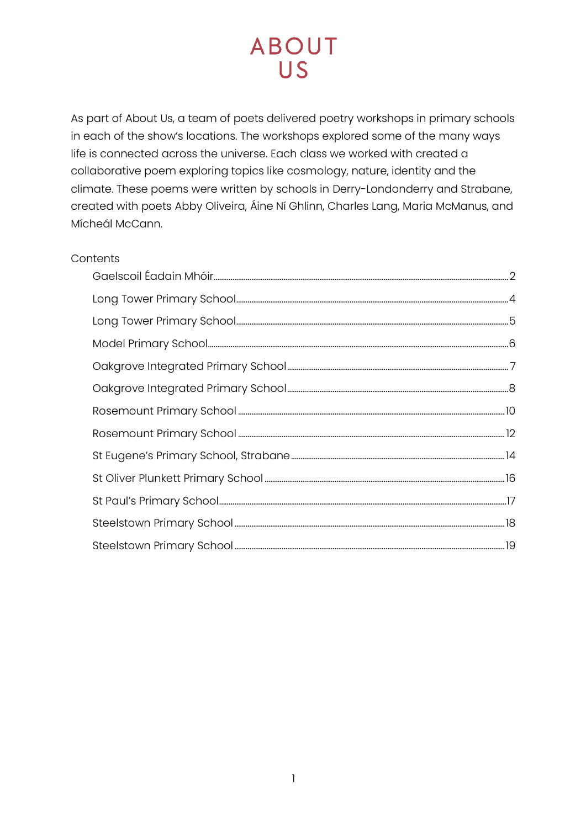As part of About Us, a team of poets delivered poetry workshops in primary schools in each of the show's locations. The workshops explored some of the many ways life is connected across the universe. Each class we worked with created a collaborative poem exploring topics like cosmology, nature, identity and the climate. These poems were written by schools in Derry-Londonderry and Strabane, created with poets Abby Oliveira, Áine Ní Ghlinn, Charles Lang, Maria McManus, and Mícheál McCann.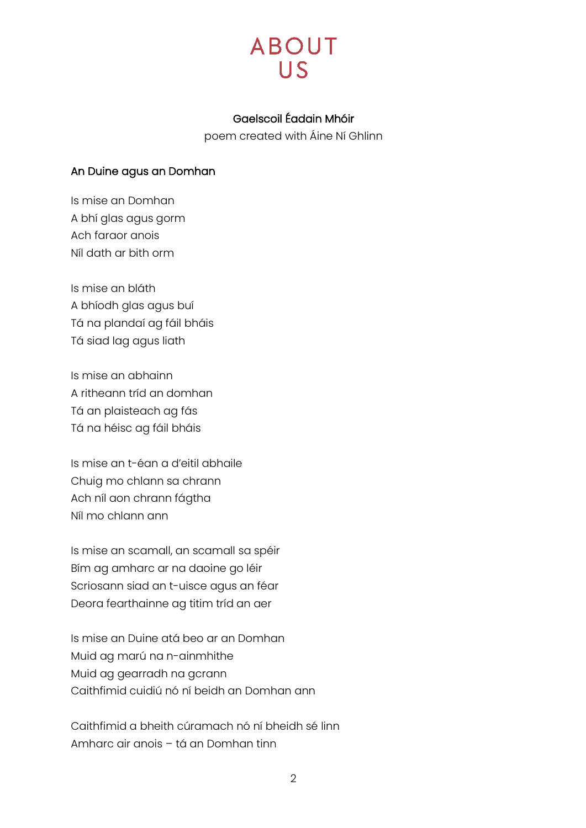

## Gaelscoil Éadain Mhóir

poem created with Áine Ní Ghlinn

#### <span id="page-1-0"></span>An Duine agus an Domhan

Is mise an Domhan A bhí glas agus gorm Ach faraor anois Níl dath ar bith orm

Is mise an bláth A bhíodh glas agus buí Tá na plandaí ag fáil bháis Tá siad lag agus liath

Is mise an abhainn A ritheann tríd an domhan Tá an plaisteach ag fás Tá na héisc ag fáil bháis

Is mise an t-éan a d'eitil abhaile Chuig mo chlann sa chrann Ach níl aon chrann fágtha Níl mo chlann ann

Is mise an scamall, an scamall sa spéir Bím ag amharc ar na daoine go léir Scriosann siad an t-uisce agus an féar Deora fearthainne ag titim tríd an aer

Is mise an Duine atá beo ar an Domhan Muid ag marú na n-ainmhithe Muid ag gearradh na gcrann Caithfimid cuidiú nó ní beidh an Domhan ann

Caithfimid a bheith cúramach nó ní bheidh sé linn Amharc air anois – tá an Domhan tinn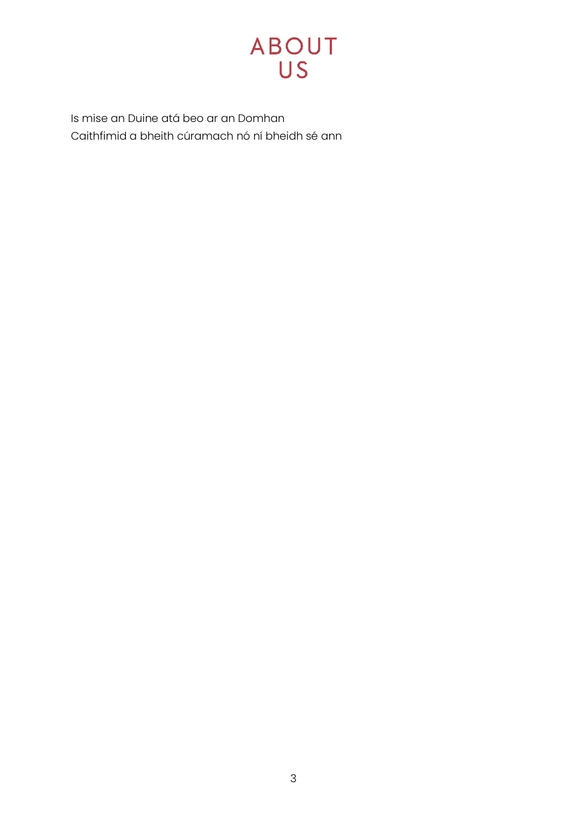

Is mise an Duine atá beo ar an Domhan Caithfimid a bheith cúramach nó ní bheidh sé ann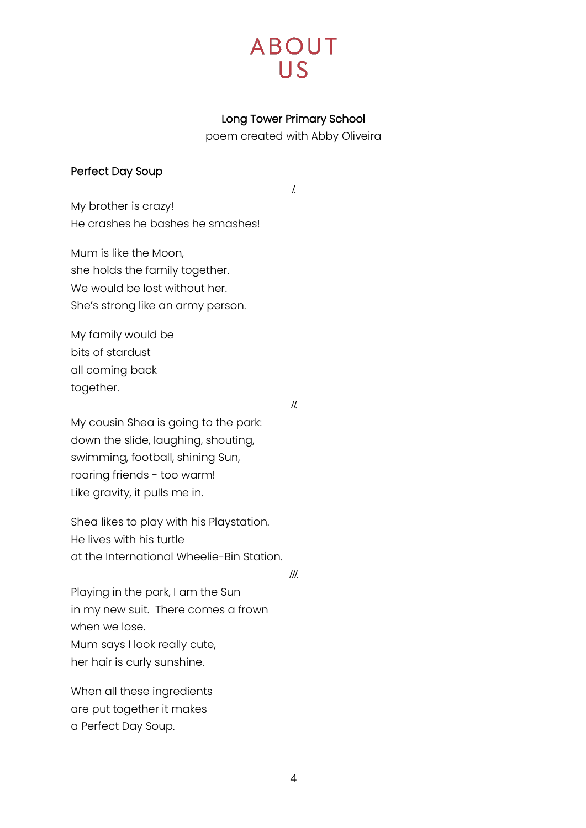# **ABOUT**  $\overline{115}$

## Long Tower Primary School

poem created with Abby Oliveira

I.

#### <span id="page-3-0"></span>Perfect Day Soup

My brother is crazy! He crashes he bashes he smashes!

Mum is like the Moon, she holds the family together. We would be lost without her. She's strong like an army person.

My family would be bits of stardust all coming back together.

II.

My cousin Shea is going to the park: down the slide, laughing, shouting, swimming, football, shining Sun, roaring friends - too warm! Like gravity, it pulls me in.

Shea likes to play with his Playstation. He lives with his turtle at the International Wheelie-Bin Station.

III.

Playing in the park, I am the Sun in my new suit. There comes a frown when we lose. Mum says I look really cute, her hair is curly sunshine.

When all these ingredients are put together it makes a Perfect Day Soup.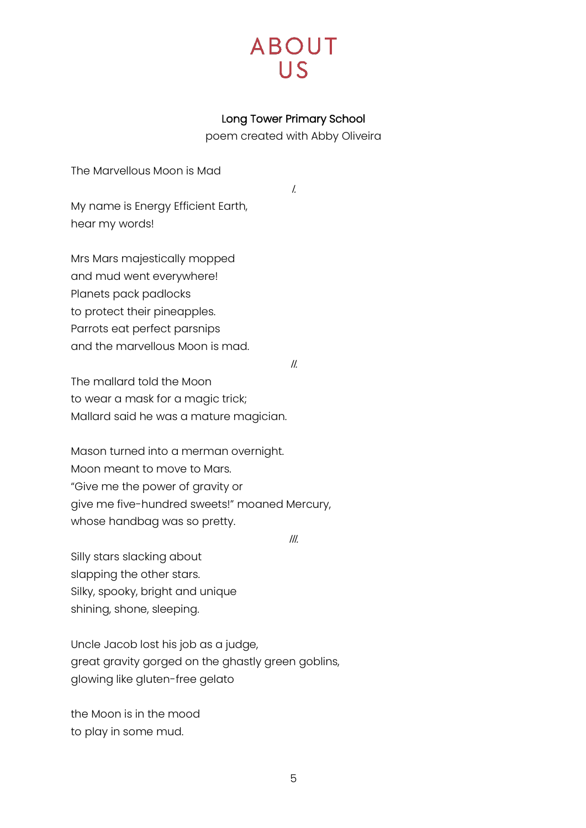## Long Tower Primary School

poem created with Abby Oliveira

<span id="page-4-0"></span>The Marvellous Moon is Mad

I.

My name is Energy Efficient Earth, hear my words!

Mrs Mars majestically mopped and mud went everywhere! Planets pack padlocks to protect their pineapples. Parrots eat perfect parsnips and the marvellous Moon is mad.

II.

The mallard told the Moon to wear a mask for a magic trick; Mallard said he was a mature magician.

Mason turned into a merman overnight. Moon meant to move to Mars. "Give me the power of gravity or give me five-hundred sweets!" moaned Mercury, whose handbag was so pretty.

III.

Silly stars slacking about slapping the other stars. Silky, spooky, bright and unique shining, shone, sleeping.

Uncle Jacob lost his job as a judge, great gravity gorged on the ghastly green goblins, glowing like gluten-free gelato

the Moon is in the mood to play in some mud.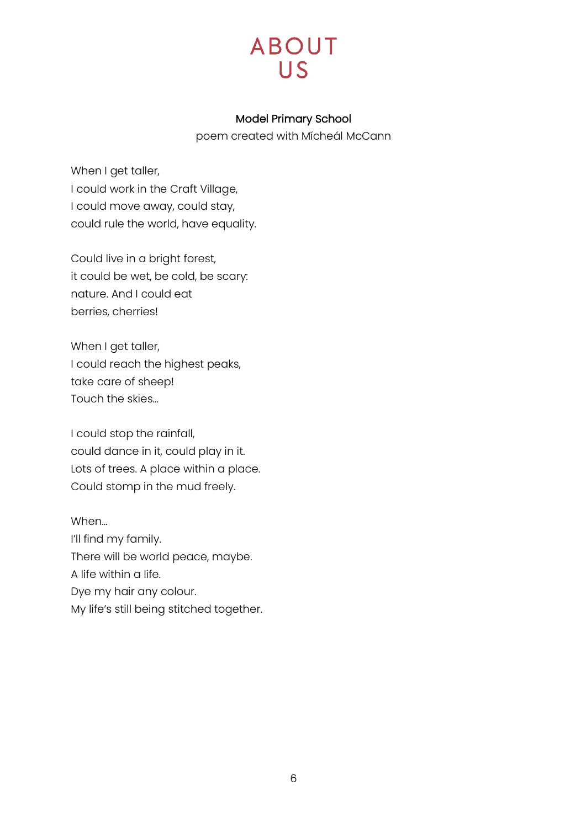

#### Model Primary School

poem created with Mícheál McCann

<span id="page-5-0"></span>When I get taller, I could work in the Craft Village, I could move away, could stay, could rule the world, have equality.

Could live in a bright forest, it could be wet, be cold, be scary: nature. And I could eat berries, cherries!

When I get taller, I could reach the highest peaks, take care of sheep! Touch the skies…

I could stop the rainfall, could dance in it, could play in it. Lots of trees. A place within a place. Could stomp in the mud freely.

When… I'll find my family. There will be world peace, maybe. A life within a life. Dye my hair any colour. My life's still being stitched together.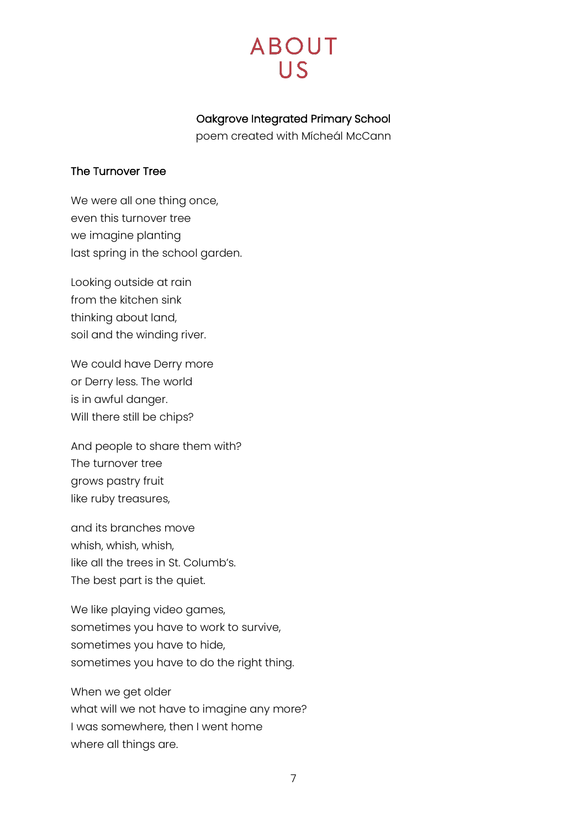# **ABOUT**  $\overline{HS}$

# Oakgrove Integrated Primary School

poem created with Mícheál McCann

## <span id="page-6-0"></span>The Turnover Tree

We were all one thing once, even this turnover tree we imagine planting last spring in the school garden.

Looking outside at rain from the kitchen sink thinking about land, soil and the winding river.

We could have Derry more or Derry less. The world is in awful danger. Will there still be chips?

And people to share them with? The turnover tree grows pastry fruit like ruby treasures,

and its branches move whish, whish, whish, like all the trees in St. Columb's. The best part is the quiet.

We like playing video games, sometimes you have to work to survive, sometimes you have to hide, sometimes you have to do the right thing.

When we get older what will we not have to imagine any more? I was somewhere, then I went home where all things are.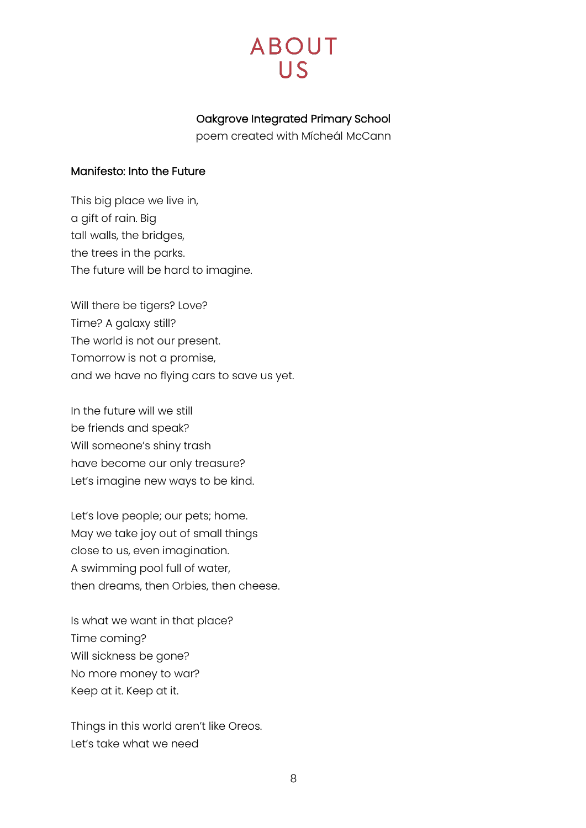## Oakgrove Integrated Primary School

poem created with Mícheál McCann

#### <span id="page-7-0"></span>Manifesto: Into the Future

This big place we live in, a gift of rain. Big tall walls, the bridges, the trees in the parks. The future will be hard to imagine.

Will there be tigers? Love? Time? A galaxy still? The world is not our present. Tomorrow is not a promise, and we have no flying cars to save us yet.

In the future will we still be friends and speak? Will someone's shiny trash have become our only treasure? Let's imagine new ways to be kind.

Let's love people; our pets; home. May we take joy out of small things close to us, even imagination. A swimming pool full of water, then dreams, then Orbies, then cheese.

Is what we want in that place? Time coming? Will sickness be gone? No more money to war? Keep at it. Keep at it.

Things in this world aren't like Oreos. Let's take what we need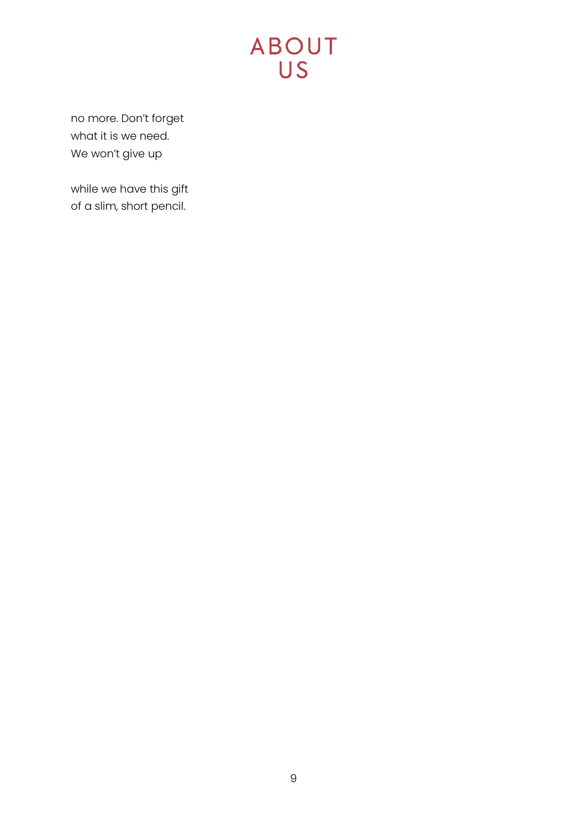# **ABOUT**

no more. Don't forget what it is we need. We won't give up

while we have this gift of a slim, short pencil.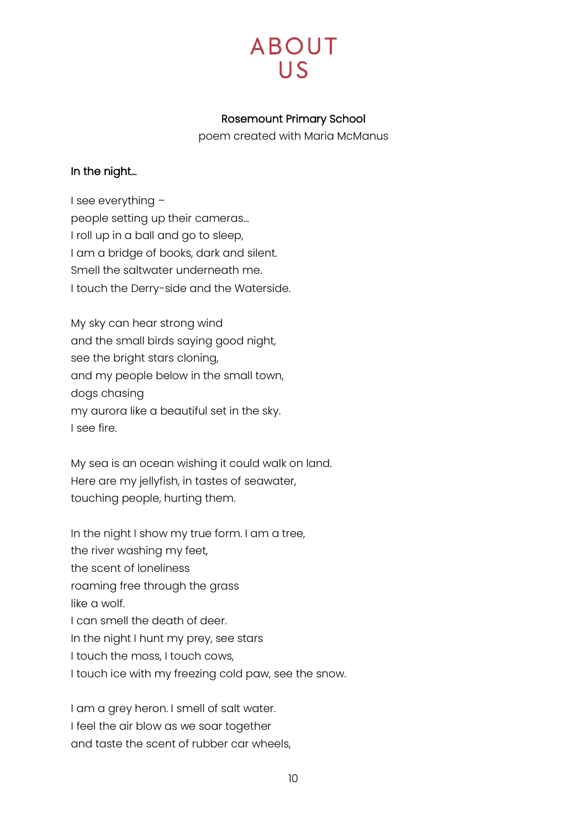# **ABOUT**

## Rosemount Primary School

poem created with Maria McManus

## <span id="page-9-0"></span>In the night…

I see everything – people setting up their cameras… I roll up in a ball and go to sleep, I am a bridge of books, dark and silent. Smell the saltwater underneath me. I touch the Derry-side and the Waterside.

My sky can hear strong wind and the small birds saying good night, see the bright stars cloning, and my people below in the small town, dogs chasing my aurora like a beautiful set in the sky. I see fire.

My sea is an ocean wishing it could walk on land. Here are my jellyfish, in tastes of seawater, touching people, hurting them.

In the night I show my true form. I am a tree, the river washing my feet, the scent of loneliness roaming free through the grass like a wolf. I can smell the death of deer. In the night I hunt my prey, see stars I touch the moss, I touch cows, I touch ice with my freezing cold paw, see the snow.

I am a grey heron. I smell of salt water. I feel the air blow as we soar together and taste the scent of rubber car wheels,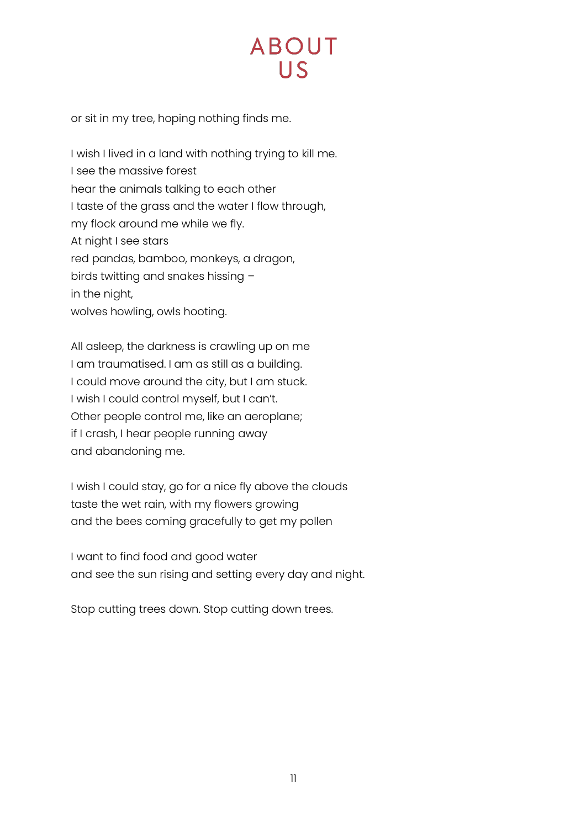# **ABOUT**  $\overline{115}$

or sit in my tree, hoping nothing finds me.

I wish I lived in a land with nothing trying to kill me. I see the massive forest hear the animals talking to each other I taste of the grass and the water I flow through, my flock around me while we fly. At night I see stars red pandas, bamboo, monkeys, a dragon, birds twitting and snakes hissing – in the night, wolves howling, owls hooting.

All asleep, the darkness is crawling up on me I am traumatised. I am as still as a building. I could move around the city, but I am stuck. I wish I could control myself, but I can't. Other people control me, like an aeroplane; if I crash, I hear people running away and abandoning me.

I wish I could stay, go for a nice fly above the clouds taste the wet rain, with my flowers growing and the bees coming gracefully to get my pollen

I want to find food and good water and see the sun rising and setting every day and night.

Stop cutting trees down. Stop cutting down trees.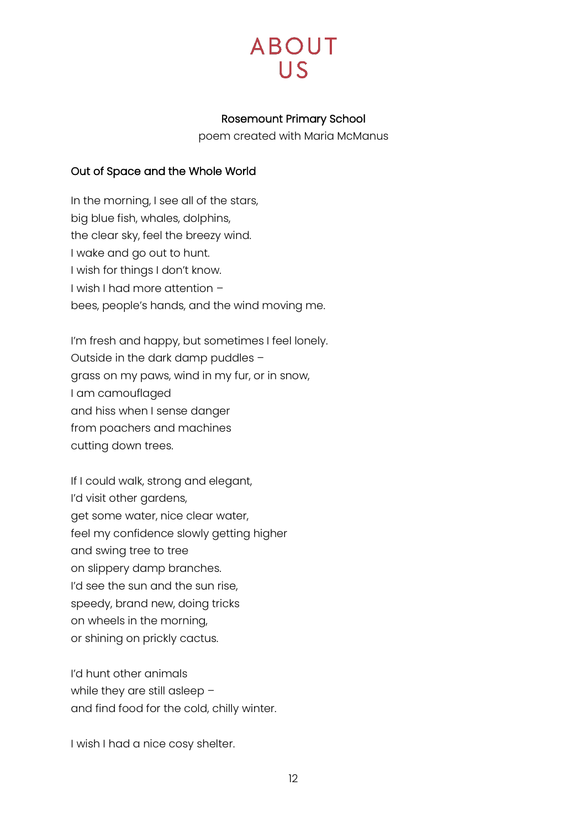

#### Rosemount Primary School

poem created with Maria McManus

#### <span id="page-11-0"></span>Out of Space and the Whole World

In the morning, I see all of the stars, big blue fish, whales, dolphins, the clear sky, feel the breezy wind. I wake and go out to hunt. I wish for things I don't know. I wish I had more attention – bees, people's hands, and the wind moving me.

I'm fresh and happy, but sometimes I feel lonely. Outside in the dark damp puddles – grass on my paws, wind in my fur, or in snow, I am camouflaged and hiss when I sense danger from poachers and machines cutting down trees.

If I could walk, strong and elegant, I'd visit other gardens, get some water, nice clear water, feel my confidence slowly getting higher and swing tree to tree on slippery damp branches. I'd see the sun and the sun rise, speedy, brand new, doing tricks on wheels in the morning, or shining on prickly cactus.

I'd hunt other animals while they are still asleep and find food for the cold, chilly winter.

I wish I had a nice cosy shelter.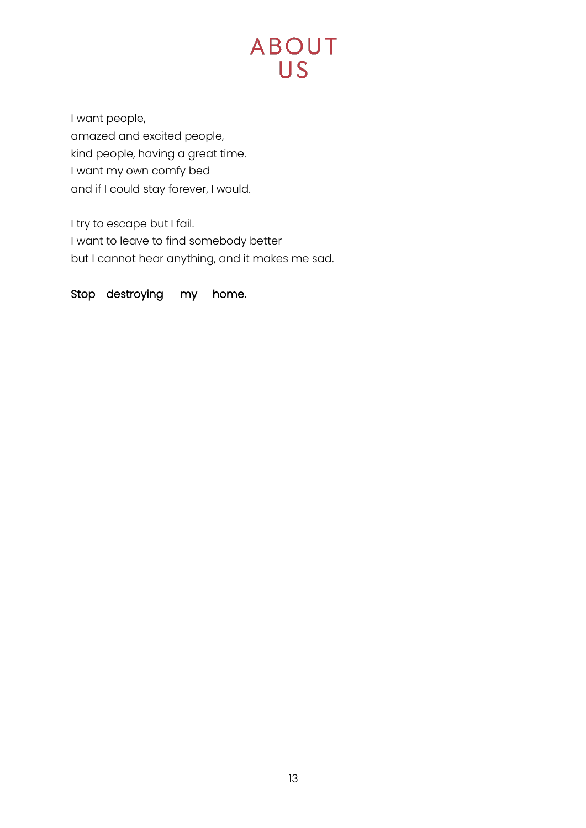I want people, amazed and excited people, kind people, having a great time. I want my own comfy bed and if I could stay forever, I would.

I try to escape but I fail. I want to leave to find somebody better but I cannot hear anything, and it makes me sad.

Stop destroying my home.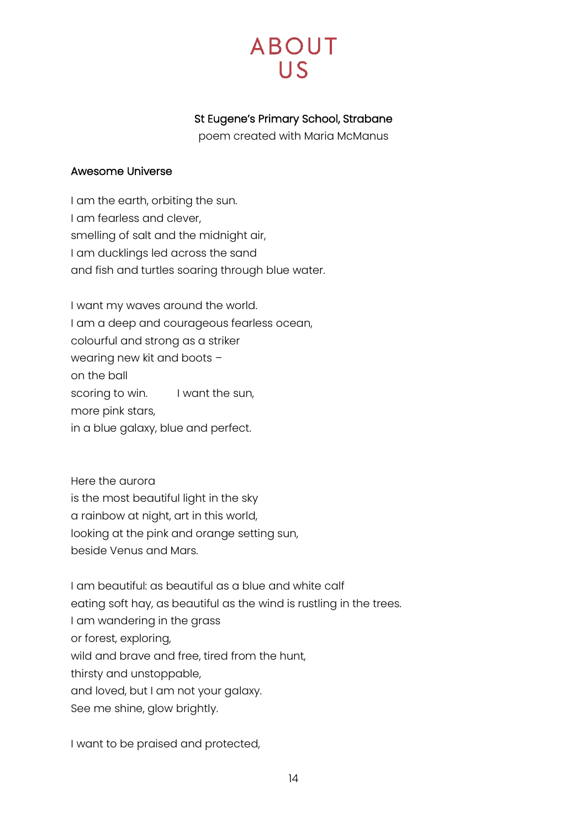# **ABOUT**  $\overline{US}$

# St Eugene's Primary School, Strabane

poem created with Maria McManus

#### <span id="page-13-0"></span>Awesome Universe

I am the earth, orbiting the sun. I am fearless and clever, smelling of salt and the midnight air, I am ducklings led across the sand and fish and turtles soaring through blue water.

I want my waves around the world. I am a deep and courageous fearless ocean, colourful and strong as a striker wearing new kit and boots – on the ball scoring to win. I want the sun, more pink stars, in a blue galaxy, blue and perfect.

Here the aurora is the most beautiful light in the sky a rainbow at night, art in this world, looking at the pink and orange setting sun, beside Venus and Mars.

I am beautiful: as beautiful as a blue and white calf eating soft hay, as beautiful as the wind is rustling in the trees. I am wandering in the grass or forest, exploring, wild and brave and free, tired from the hunt, thirsty and unstoppable, and loved, but I am not your galaxy. See me shine, glow brightly.

I want to be praised and protected,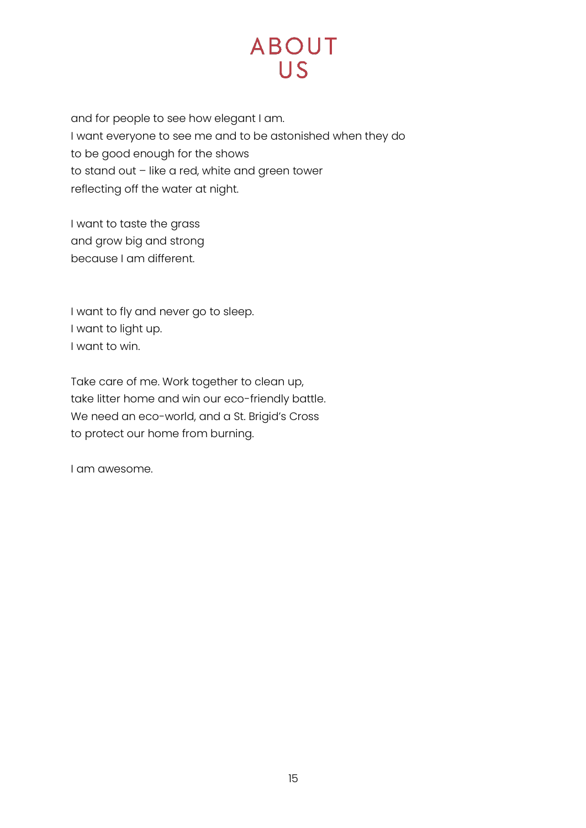and for people to see how elegant I am. I want everyone to see me and to be astonished when they do to be good enough for the shows to stand out – like a red, white and green tower reflecting off the water at night.

I want to taste the grass and grow big and strong because I am different.

I want to fly and never go to sleep. I want to light up. I want to win.

Take care of me. Work together to clean up, take litter home and win our eco-friendly battle. We need an eco-world, and a St. Brigid's Cross to protect our home from burning.

I am awesome.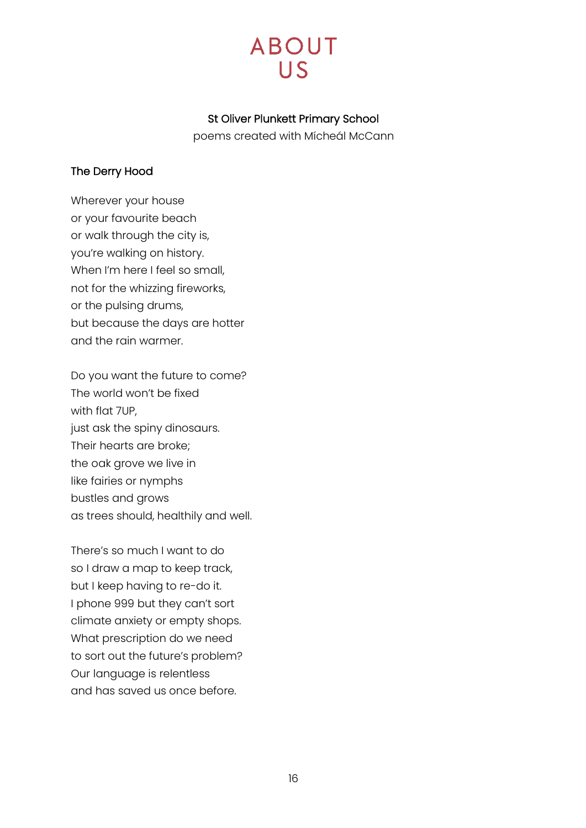# **ABOUT**  $\overline{\mathsf{L}}$

## St Oliver Plunkett Primary School

poems created with Mícheál McCann

## <span id="page-15-0"></span>The Derry Hood

Wherever your house or your favourite beach or walk through the city is, you're walking on history. When I'm here I feel so small, not for the whizzing fireworks, or the pulsing drums, but because the days are hotter and the rain warmer.

Do you want the future to come? The world won't be fixed with flat 7UP, just ask the spiny dinosaurs. Their hearts are broke; the oak grove we live in like fairies or nymphs bustles and grows as trees should, healthily and well.

There's so much I want to do so I draw a map to keep track, but I keep having to re-do it. I phone 999 but they can't sort climate anxiety or empty shops. What prescription do we need to sort out the future's problem? Our language is relentless and has saved us once before.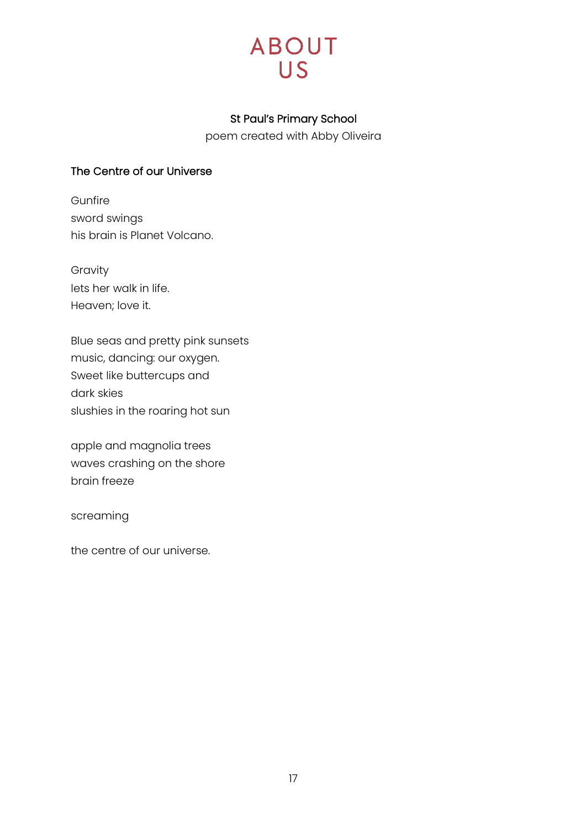## St Paul's Primary School

poem created with Abby Oliveira

## <span id="page-16-0"></span>The Centre of our Universe

Gunfire sword swings his brain is Planet Volcano.

Gravity lets her walk in life. Heaven; love it.

Blue seas and pretty pink sunsets music, dancing: our oxygen. Sweet like buttercups and dark skies slushies in the roaring hot sun

apple and magnolia trees waves crashing on the shore brain freeze

screaming

the centre of our universe.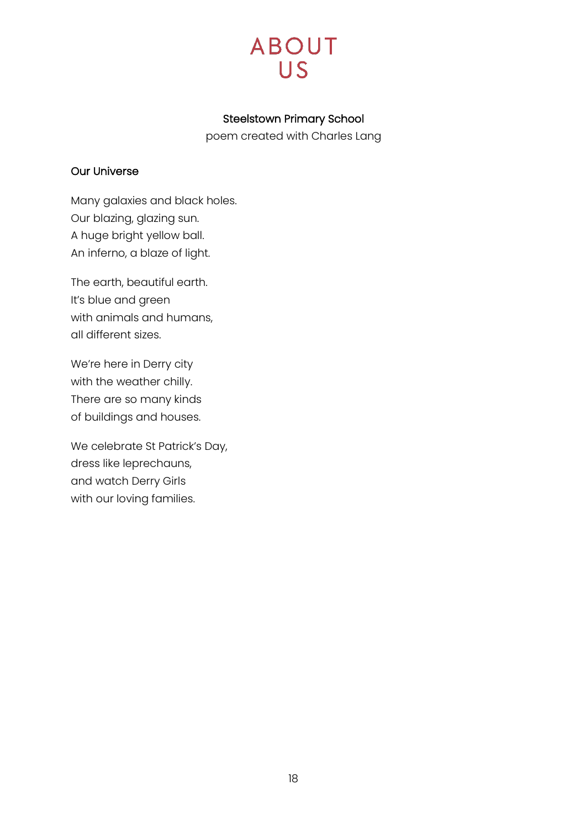## Steelstown Primary School

poem created with Charles Lang

## <span id="page-17-0"></span>Our Universe

Many galaxies and black holes. Our blazing, glazing sun. A huge bright yellow ball. An inferno, a blaze of light.

The earth, beautiful earth. It's blue and green with animals and humans, all different sizes.

We're here in Derry city with the weather chilly. There are so many kinds of buildings and houses.

We celebrate St Patrick's Day, dress like leprechauns, and watch Derry Girls with our loving families.